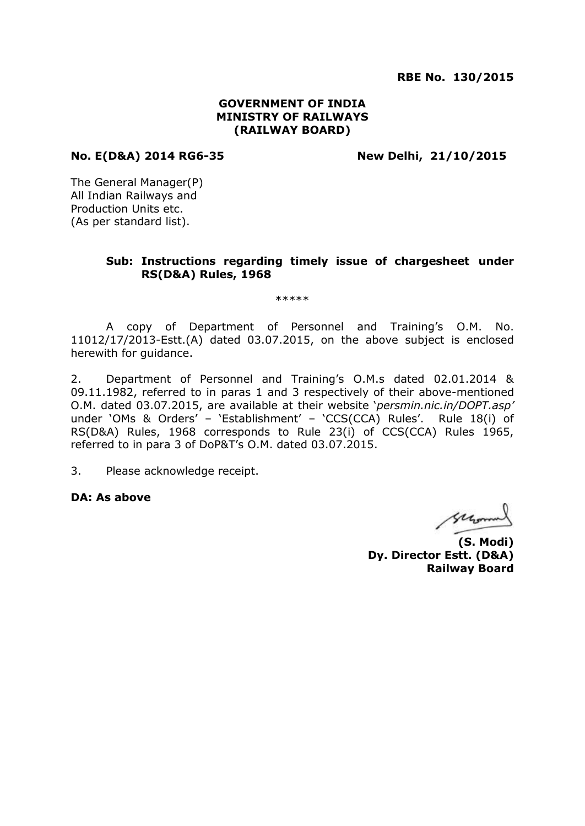**RBE No. 130/2015**

### **GOVERNMENT OF INDIA MINISTRY OF RAILWAYS (RAILWAY BOARD)**

#### **No. E(D&A) 2014 RG6-35 New Delhi, 21/10/2015**

The General Manager(P) All Indian Railways and Production Units etc. (As per standard list).

### **Sub: Instructions regarding timely issue of chargesheet under RS(D&A) Rules, 1968**

\*\*\*\*\*

A copy of Department of Personnel and Training's O.M. No. 11012/17/2013-Estt.(A) dated 03.07.2015, on the above subject is enclosed herewith for guidance.

2. Department of Personnel and Training's O.M.s dated 02.01.2014 & 09.11.1982, referred to in paras 1 and 3 respectively of their above-mentioned O.M. dated 03.07.2015, are available at their website '*persmin.nic.in/DOPT.asp'* under 'OMs & Orders' - 'Establishment' - 'CCS(CCA) Rules'. Rule 18(i) of RS(D&A) Rules, 1968 corresponds to Rule 23(i) of CCS(CCA) Rules 1965, referred to in para 3 of DoP&T's O.M. dated 03.07.2015.

3. Please acknowledge receipt.

**DA: As above**

second

**(S. Modi) Dy. Director Estt. (D&A) Railway Board**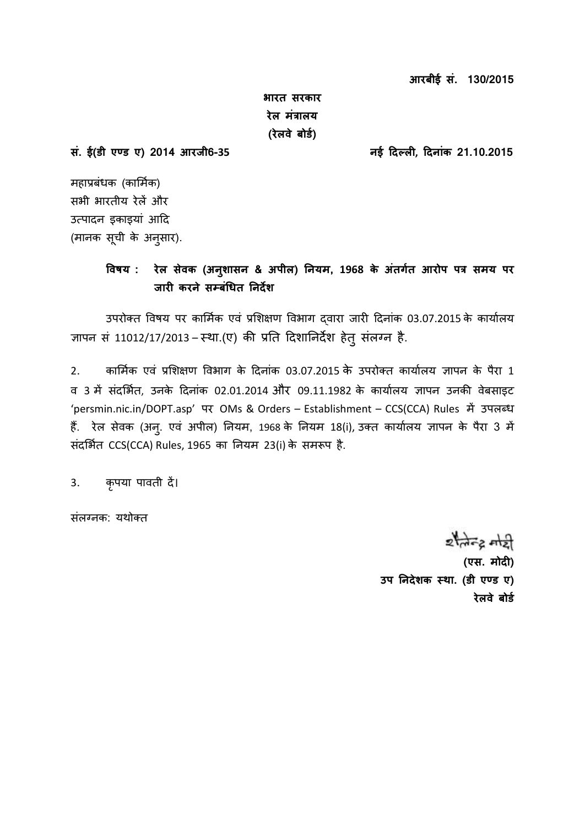**आरबीई सं. 130/2015** 

**भारत सरकार रेल मंत्रालय (रेलवे बोर्ड)** 

**सं. ई(र्ी एण् र् ए) 2014 आरजी6-35 नई दिल ली , दिनांक 21.10.2015**

महाप्रबंधक (कार्मिक) सभी भारतीय रेलें और उत्पादन इकाइयां आदि (मानक सूची के अनुसार).

# **ववषय : रेल सेवक (अनशु ासन & अपील) ननयम, 1968 के अंतर्डत आरोप पत्र समय पर जारी करने सम्बधंित ननिेश**

उपरोक्त विषय पर कार्मिक एवं प्रशिक्षण विभाग दवारा जारी दिनांक 03.07.2015 के कार्यालय ज्ञापन सं 11012/17/2013 – स्था.(ए) की प्रति दिशानिर्देश हेतु संलग्न है.

2. कार्मिक एवं प्रशिक्षण विभाग के दिनांक 03.07.2015 के उपरोक्त कार्यालय ज्ञापन के पैरा 1 व 3 में संदर्भित, उनके दिनांक 02.01.2014 और 09.11.1982 के कार्यालय ज्ञापन उनकी वेबसाइट 'persmin.nic.in/DOPT.asp' पर OMs & Orders – Establishment – CCS(CCA) Rules में उपलब्ध हैं. रेल सेवक (अन्. एवं अपील) नियम, 1968 के नियम 18(i), उक्त कार्यालय ज्ञापन के पैरा 3 में संदर्भित CCS(CCA) Rules, 1965 का नियम 23(i) के समरूप है.

3. कृपया पावती दें।

संलग्नक: यथोक्त

 $z$  and  $z$ 

**(एस. मोिी )**  उप निदेशक स्था. (डी एण्ड ए) **रेलवे बोर्ड**